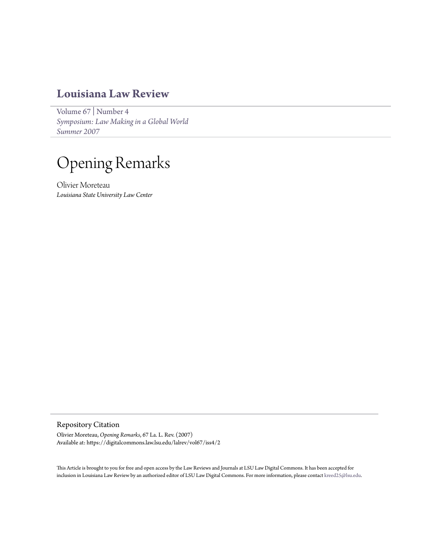## **[Louisiana Law Review](https://digitalcommons.law.lsu.edu/lalrev)**

[Volume 67](https://digitalcommons.law.lsu.edu/lalrev/vol67) | [Number 4](https://digitalcommons.law.lsu.edu/lalrev/vol67/iss4) *[Symposium: Law Making in a Global World](https://digitalcommons.law.lsu.edu/lalrev/vol67/iss4) [Summer 2007](https://digitalcommons.law.lsu.edu/lalrev/vol67/iss4)*

## Opening Remarks

Olivier Moreteau *Louisiana State University Law Center*

Repository Citation

Olivier Moreteau, *Opening Remarks*, 67 La. L. Rev. (2007) Available at: https://digitalcommons.law.lsu.edu/lalrev/vol67/iss4/2

This Article is brought to you for free and open access by the Law Reviews and Journals at LSU Law Digital Commons. It has been accepted for inclusion in Louisiana Law Review by an authorized editor of LSU Law Digital Commons. For more information, please contact [kreed25@lsu.edu](mailto:kreed25@lsu.edu).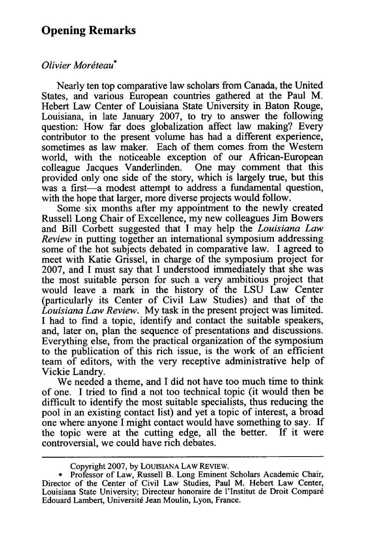## **Opening Remarks**

## *Olivier Moréteau*<sup>\*</sup>

Nearly ten top comparative law scholars from Canada, the United States, and various European countries gathered at the Paul M. Hebert Law Center of Louisiana State University in Baton Rouge, Louisiana, in late January 2007, to try to answer the following question: How far does globalization affect law making? Every contributor to the present volume has had a different experience, sometimes as law maker. Each of them comes from the Western world, with the noticeable exception of our African-European colleague Jacques Vanderlinden. One may comment that this provided only one side of the story, which is largely true, but this was a first-a modest attempt to address a fundamental question, with the hope that larger, more diverse projects would follow.

Some six months after my appointment to the newly created Russell Long Chair of Excellence, my new colleagues Jim Bowers and Bill Corbett suggested that I may help the *Louisiana Law Review* in putting together an international symposium addressing some of the hot subjects debated in comparative law. I agreed to meet with Katie Grissel, in charge of the symposium project for 2007, and I must say that I understood immediately that she was the most suitable person for such a very ambitious project that would leave a mark in the history of the LSU Law Center (particularly its Center of Civil Law Studies) and that of the *Louisiana Law Review.* My task in the present project was limited. I had to find a topic, identify and contact the suitable speakers, and, later on, plan the sequence of presentations and discussions. Everything else, from the practical organization of the symposium to the publication of this rich issue, is the work of an efficient team of editors, with the very receptive administrative help of Vickie Landry.

We needed a theme, and I did not have too much time to think of one. I tried to find a not too technical topic (it would then be difficult to identify the most suitable specialists, thus reducing the pool in an existing contact list) and yet a topic of interest, a broad one where anyone I might contact would have something to say. If the topic were at the cutting edge, all the better. If it were controversial, we could have rich debates.

Copyright 2007, by LOUISIANA LAW REVIEW.

<sup>\*</sup> Professor of Law, Russell B. Long Eminent Scholars Academic Chair, Director of the Center of Civil Law Studies, Paul M. Hebert Law Center, Louisiana State University; Directeur honoraire de l'Institut de Droit Comparé Edouard Lambert, Université Jean Moulin, Lyon, France.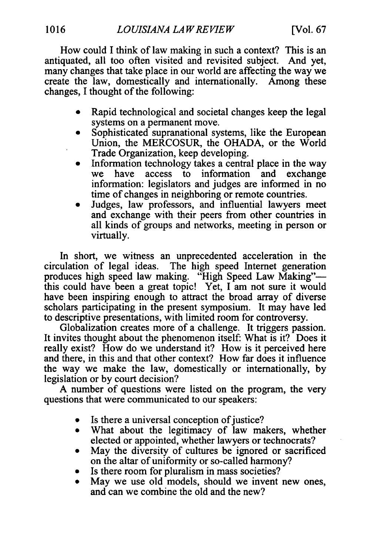How could I think of law making in such a context? This is an antiquated, all too often visited and revisited subject. And yet, many changes that take place in our world are affecting the way we create the law, domestically and internationally. Among these changes, I thought of the following:

- Rapid technological and societal changes keep the legal systems on a permanent move.
- Sophisticated supranational systems, like the European Union, the MERCOSUR, the OHADA, or the World Trade Organization, keep developing.
- Information technology takes a central place in the way we have access to information and exchange information: legislators and judges are informed in no time of changes in neighboring or remote countries.
- Judges, law professors, and influential lawyers meet and exchange with their peers from other countries in all kinds of groups and networks, meeting in person or virtually.

In short, we witness an unprecedented acceleration in the circulation of legal ideas. The high speed Internet generation produces high speed law making. "High Speed Law Making" this could have been a great topic! Yet, I am not sure it would have been inspiring enough to attract the broad array of diverse scholars participating in the present symposium. It may have led to descriptive presentations, with limited room for controversy.

Globalization creates more of a challenge. It triggers passion. It invites thought about the phenomenon itself: What is it? Does it really exist? How do we understand it? How is it perceived here and there, in this and that other context? How far does it influence the way we make the law, domestically or internationally, by legislation or by court decision?

A number of questions were listed on the program, the very questions that were communicated to our speakers:

- Is there a universal conception of justice?
- What about the legitimacy of law makers, whether elected or appointed, whether lawyers or technocrats?
- May the diversity of cultures be ignored or sacrificed on the altar of uniformity or so-called harmony?
- Is there room for pluralism in mass societies?
- May we use old models, should we invent new ones, and can we combine the old and the new?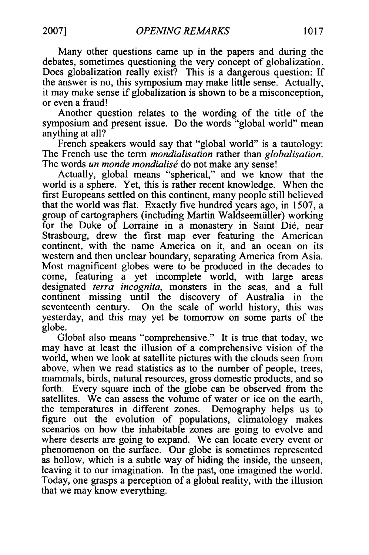Many other questions came up in the papers and during the debates, sometimes questioning the very concept of globalization. Does globalization really exist? This is a dangerous question: If the answer is no, this symposium may make little sense. Actually, it may make sense if globalization is shown to be a misconception, or even a fraud!

Another question relates to the wording of the title of the symposium and present issue. Do the words "global world" mean anything at all?

French speakers would say that "global world" is a tautology: The French use the term *mondialisation* rather than *globalisation.* The words *un monde mondialisé* do not make any sense!

Actually, global means "spherical," and we know that the world is a sphere. Yet, this is rather recent knowledge. When the first Europeans settled on this continent, many people still believed that the world was flat. Exactly five hundred years ago, in 1507, a group of cartographers (including Martin Waldseemüller) working for the Duke of Lorraine in a monastery in Saint Di6, near Strasbourg, drew the first map ever featuring the American continent, with the name America on it, and an ocean on its western and then unclear boundary, separating America from Asia. Most magnificent globes were to be produced in the decades to come, featuring a yet incomplete world, with large areas designated *terra incognita,* monsters in the seas, and a full continent missing until the discovery of Australia in the seventeenth century. On the scale of world history, this was yesterday, and this may yet be tomorrow on some parts of the globe.

Global also means "comprehensive." It is true that today, we may have at least the illusion of a comprehensive vision of the world, when we look at satellite pictures with the clouds seen from above, when we read statistics as to the number of people, trees, mammals, birds, natural resources, gross domestic products, and so forth. Every square inch of the globe can be observed from the satellites. We can assess the volume of water or ice on the earth, the temperatures in different zones. Demography helps us to figure out the evolution of populations, climatology makes scenarios on how the inhabitable zones are going to evolve and where deserts are going to expand. We can locate every event or phenomenon on the surface. Our globe is sometimes represented as hollow, which is a subtle way of hiding the inside, the unseen, leaving it to our imagination. In the past, one imagined the world. Today, one grasps a perception of a global reality, with the illusion that we may know everything.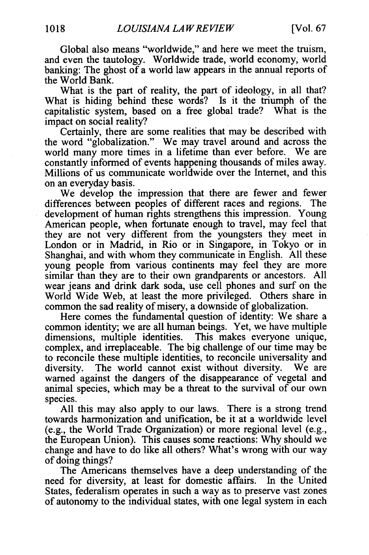Global also means "worldwide," and here we meet the truism, and even the tautology. Worldwide trade, world economy, world banking: The ghost of a world law appears in the annual reports of the World Bank.

What is the part of reality, the part of ideology, in all that? What is hiding behind these words? Is it the triumph of the capitalistic system, based on a free global trade? What is the impact on social reality?

Certainly, there are some realities that may be described with the word "globalization." We may travel around and across the world many more times in a lifetime than ever before. We are constantly informed of events happening thousands of miles away. Millions of us communicate worldwide over the Internet, and this on an everyday basis.

We develop the impression that there are fewer and fewer differences between peoples of different races and regions. The development of human rights strengthens this impression. Young American people, when fortunate enough to travel, may feel that they are not very different from the youngsters they meet in London or in Madrid, in Rio or in Singapore, in Tokyo or in Shanghai, and with whom they communicate in English. All these young people from various continents may feel they are more similar than they are to their own grandparents or ancestors. All wear jeans and drink dark soda, use cell phones and surf on the World Wide Web, at least the more privileged. Others share in common the sad reality of misery, a downside of globalization.

Here comes the fundamental question of identity: We share a common identity; we are all human beings. Yet, we have multiple dimensions, multiple identities. This makes everyone unique, complex, and irreplaceable. The big challenge of our time may be to reconcile these multiple identities, to reconcile universality and diversity. The world cannot exist without diversity. We are warned against the dangers of the disappearance of vegetal and animal species, which may be a threat to the survival of our own species.

All this may also apply to our laws. There is a strong trend towards harmonization and unification, be it at a worldwide level (e.g., the World Trade Organization) or more regional level (e.g., the European Union). This causes some reactions: Why should we change and have to do like all others? What's wrong with our way of doing things?

The Americans themselves have a deep understanding of the need for diversity, at least for domestic affairs. In the United States, federalism operates in such a way as to preserve vast zones of autonomy to the individual states, with one legal system in each